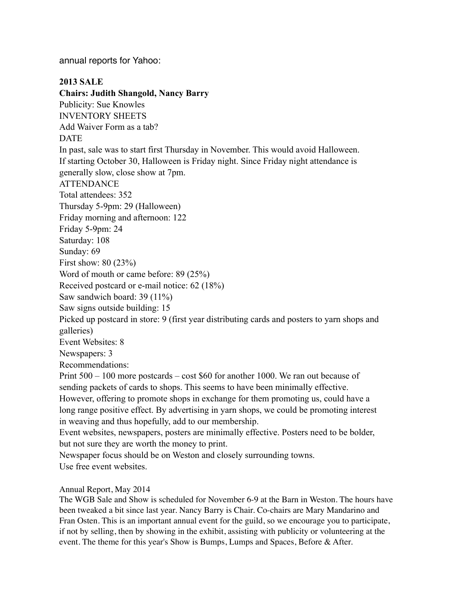annual reports for Yahoo:

**2013 SALE Chairs: Judith Shangold, Nancy Barry** Publicity: Sue Knowles INVENTORY SHEETS Add Waiver Form as a tab? DATE In past, sale was to start first Thursday in November. This would avoid Halloween. If starting October 30, Halloween is Friday night. Since Friday night attendance is generally slow, close show at 7pm. **ATTENDANCE** Total attendees: 352 Thursday 5-9pm: 29 (Halloween) Friday morning and afternoon: 122 Friday 5-9pm: 24 Saturday: 108 Sunday: 69 First show: 80 (23%) Word of mouth or came before: 89 (25%) Received postcard or e-mail notice: 62 (18%) Saw sandwich board: 39 (11%) Saw signs outside building: 15 Picked up postcard in store: 9 (first year distributing cards and posters to yarn shops and galleries) Event Websites: 8 Newspapers: 3 Recommendations: Print 500 – 100 more postcards – cost \$60 for another 1000. We ran out because of sending packets of cards to shops. This seems to have been minimally effective. However, offering to promote shops in exchange for them promoting us, could have a long range positive effect. By advertising in yarn shops, we could be promoting interest in weaving and thus hopefully, add to our membership. Event websites, newspapers, posters are minimally effective. Posters need to be bolder, but not sure they are worth the money to print. Newspaper focus should be on Weston and closely surrounding towns. Use free event websites.

### Annual Report, May 2014

The WGB Sale and Show is scheduled for November 6-9 at the Barn in Weston. The hours have been tweaked a bit since last year. Nancy Barry is Chair. Co-chairs are Mary Mandarino and Fran Osten. This is an important annual event for the guild, so we encourage you to participate, if not by selling, then by showing in the exhibit, assisting with publicity or volunteering at the event. The theme for this year's Show is Bumps, Lumps and Spaces, Before & After.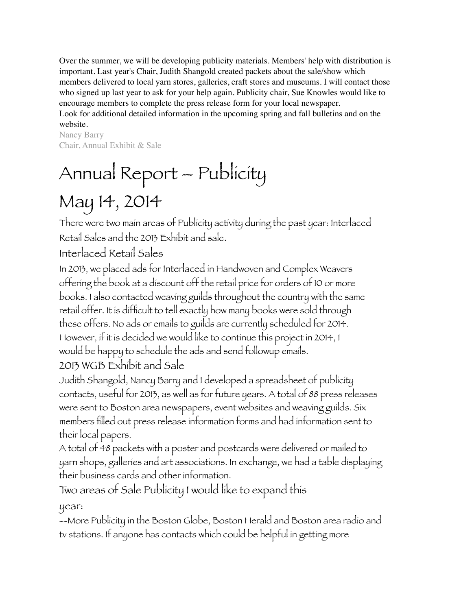Over the summer, we will be developing publicity materials. Members' help with distribution is important. Last year's Chair, Judith Shangold created packets about the sale/show which members delivered to local yarn stores, galleries, craft stores and museums. I will contact those who signed up last year to ask for your help again. Publicity chair, Sue Knowles would like to encourage members to complete the press release form for your local newspaper.

Look for additional detailed information in the upcoming spring and fall bulletins and on the website.

Nancy Barry Chair, Annual Exhibit & Sale

# Annual Report – Publicity May 14, 2014

There were two main areas of Publicity activity during the past year: Interlaced Retail Sales and the 2013 Exhibit and sale.

# Interlaced Retail Sales

In 2013, we placed ads for Interlaced in Handwoven and Complex Weavers offering the book at a discount off the retail price for orders of 10 or more books. I also contacted weaving guilds throughout the country with the same retail offer. It is difficult to tell exactly how many books were sold through these offers. No ads or emails to guilds are currently scheduled for 2014. However, if it is decided we would like to continue this project in 2014, I would be happy to schedule the ads and send followup emails. 2013 WGB Exhibit and Sale

Judith Shangold, Nancy Barry and I developed a spreadsheet of publicity contacts, useful for 2013, as well as for future years. A total of 88 press releases were sent to Boston area newspapers, event websites and weaving guilds. Six members filled out press release information forms and had information sent to their local papers.

A total of 48 packets with a poster and postcards were delivered or mailed to yarn shops, galleries and art associations. In exchange, we had a table displaying their business cards and other information.

Two areas of Sale Publicity I would like to expand this

year:

--More Publicity in the Boston Globe, Boston Herald and Boston area radio and tv stations. If anyone has contacts which could be helpful in getting more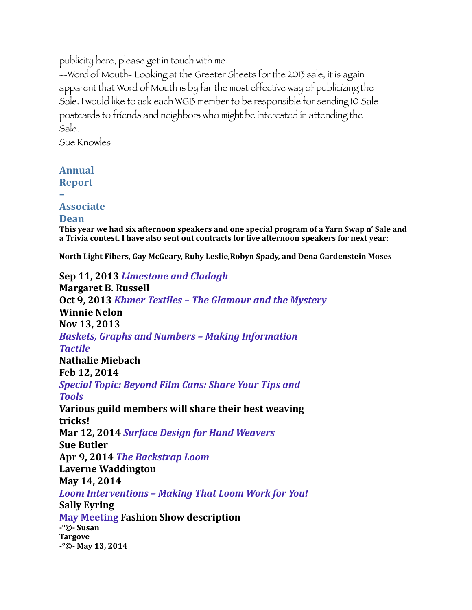publicity here, please get in touch with me.

--Word of Mouth- Looking at the Greeter Sheets for the 2013 sale, it is again apparent that Word of Mouth is by far the most effective way of publicizing the Sale. I would like to ask each WGB member to be responsible for sending 10 Sale postcards to friends and neighbors who might be interested in attending the Sale.

Sue Knowles

# **Annual**

# **Report**

# **–**

# **Associate**

## **Dean**

This year we had six afternoon speakers and one special program of a Yarn Swap n' Sale and a Trivia contest. I have also sent out contracts for five afternoon speakers for next year:

**North Light Fibers, Gay McGeary, Ruby Leslie, Robyn Spady, and Dena Gardenstein Moses** 

# **Sep 11, 2013** *Limestone* and *Cladagh*

**Margaret B. Russell Oct 9, 2013** *Khmer Textiles* – The Glamour and the Mystery **Winnie Nelon Nov 13, 2013 Baskets, Graphs and Numbers - Making Information** *Tactile* **Nathalie Miebach Feb 12, 2014** *Special Topic: Beyond Film Cans: Share Your Tips and Tools* **Various guild members will share their best weaving tricks! Mar 12, 2014 Surface Design for Hand Weavers Sue Butler** Apr 9, 2014 *The Backstrap Loom* **Laverne Waddington May 14, 2014** Loom Interventions - Making That Loom Work for You! **Sally Eyring May Meeting Fashion Show description -°©- Susan Targove -°©- May 13, 2014**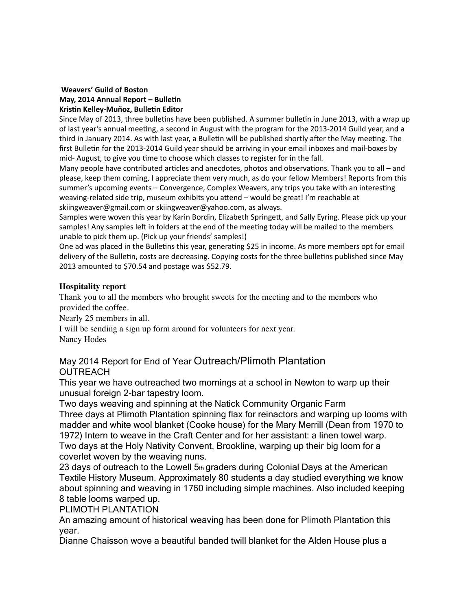#### **Weavers' Guild of Boston May, 2014 Annual Report - Bulletin Kristin Kelley-Muñoz, Bulletin Editor**

Since May of 2013, three bulletins have been published. A summer bulletin in June 2013, with a wrap up of last year's annual meeting, a second in August with the program for the 2013-2014 Guild year, and a third in January 2014. As with last year, a Bulletin will be published shortly after the May meeting. The first Bulletin for the 2013-2014 Guild year should be arriving in your email inboxes and mail-boxes by mid- August, to give you time to choose which classes to register for in the fall.

Many people have contributed articles and anecdotes, photos and observations. Thank you to all – and please, keep them coming, I appreciate them very much, as do your fellow Members! Reports from this summer's upcoming events – Convergence, Complex Weavers, any trips you take with an interesting weaving-related side trip, museum exhibits you attend – would be great! I'm reachable at skiingweaver@gmail.com or skiingweaver@yahoo.com, as always.

Samples were woven this year by Karin Bordin, Elizabeth Springett, and Sally Eyring. Please pick up your samples! Any samples left in folders at the end of the meeting today will be mailed to the members unable to pick them up. (Pick up your friends' samples!)

One ad was placed in the Bulletins this year, generating \$25 in income. As more members opt for email delivery of the Bulletin, costs are decreasing. Copying costs for the three bulletins published since May 2013 amounted to \$70.54 and postage was \$52.79.

## **Hospitality report**

Thank you to all the members who brought sweets for the meeting and to the members who provided the coffee.

Nearly 25 members in all.

I will be sending a sign up form around for volunteers for next year. Nancy Hodes

# May 2014 Report for End of Year Outreach/Plimoth Plantation **OUTREACH**

This year we have outreached two mornings at a school in Newton to warp up their unusual foreign 2-bar tapestry loom.

Two days weaving and spinning at the Natick Community Organic Farm Three days at Plimoth Plantation spinning flax for reinactors and warping up looms with madder and white wool blanket (Cooke house) for the Mary Merrill (Dean from 1970 to 1972) Intern to weave in the Craft Center and for her assistant: a linen towel warp. Two days at the Holy Nativity Convent, Brookline, warping up their big loom for a coverlet woven by the weaving nuns.

23 days of outreach to the Lowell  $5<sub>th</sub>$  graders during Colonial Days at the American Textile History Museum. Approximately 80 students a day studied everything we know about spinning and weaving in 1760 including simple machines. Also included keeping 8 table looms warped up.

PLIMOTH PLANTATION

An amazing amount of historical weaving has been done for Plimoth Plantation this year.

Dianne Chaisson wove a beautiful banded twill blanket for the Alden House plus a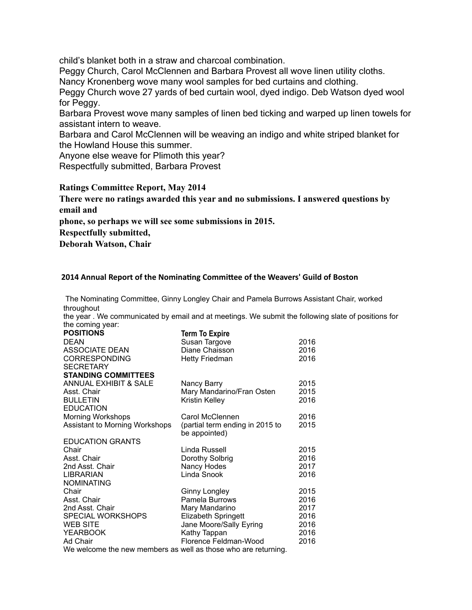child's blanket both in a straw and charcoal combination.

Peggy Church, Carol McClennen and Barbara Provest all wove linen utility cloths.

Nancy Kronenberg wove many wool samples for bed curtains and clothing.

Peggy Church wove 27 yards of bed curtain wool, dyed indigo. Deb Watson dyed wool for Peggy.

Barbara Provest wove many samples of linen bed ticking and warped up linen towels for assistant intern to weave.

Barbara and Carol McClennen will be weaving an indigo and white striped blanket for the Howland House this summer.

Anyone else weave for Plimoth this year?

Respectfully submitted, Barbara Provest

#### **Ratings Committee Report, May 2014**

**There were no ratings awarded this year and no submissions. I answered questions by email and**

**phone, so perhaps we will see some submissions in 2015.**

**Respectfully submitted,**

**Deborah Watson, Chair**

#### **2014 Annual Report of the Nominating Committee of the Weavers' Guild of Boston**

The Nominating Committee, Ginny Longley Chair and Pamela Burrows Assistant Chair, worked throughout

the year . We communicated by email and at meetings. We submit the following slate of positions for the coming year:

| <b>POSITIONS</b>                                               | <b>Term To Expire</b>           |      |  |
|----------------------------------------------------------------|---------------------------------|------|--|
| <b>DEAN</b>                                                    | Susan Targove                   | 2016 |  |
| <b>ASSOCIATE DEAN</b>                                          | Diane Chaisson                  | 2016 |  |
| <b>CORRESPONDING</b>                                           | <b>Hetty Friedman</b>           | 2016 |  |
| <b>SECRETARY</b>                                               |                                 |      |  |
| <b>STANDING COMMITTEES</b>                                     |                                 |      |  |
| ANNUAL EXHIBIT & SALE                                          | Nancy Barry                     | 2015 |  |
| Asst. Chair                                                    | Mary Mandarino/Fran Osten       | 2015 |  |
| <b>BULLETIN</b>                                                | Kristin Kelley                  | 2016 |  |
| <b>EDUCATION</b>                                               |                                 |      |  |
| <b>Morning Workshops</b>                                       | Carol McClennen                 | 2016 |  |
| Assistant to Morning Workshops                                 | (partial term ending in 2015 to | 2015 |  |
|                                                                | be appointed)                   |      |  |
| <b>EDUCATION GRANTS</b>                                        |                                 |      |  |
| Chair                                                          | Linda Russell                   | 2015 |  |
| Asst. Chair                                                    | Dorothy Solbrig                 | 2016 |  |
| 2nd Asst. Chair                                                | Nancy Hodes                     | 2017 |  |
| <b>LIBRARIAN</b>                                               | Linda Snook                     | 2016 |  |
| <b>NOMINATING</b>                                              |                                 |      |  |
| Chair                                                          | <b>Ginny Longley</b>            | 2015 |  |
| Asst. Chair                                                    | Pamela Burrows                  | 2016 |  |
| 2nd Asst. Chair                                                | Mary Mandarino                  | 2017 |  |
| <b>SPECIAL WORKSHOPS</b>                                       | <b>Elizabeth Springett</b>      | 2016 |  |
| <b>WEB SITE</b>                                                | Jane Moore/Sally Eyring         | 2016 |  |
| <b>YEARBOOK</b>                                                | Kathy Tappan                    | 2016 |  |
| Ad Chair                                                       | Florence Feldman-Wood           | 2016 |  |
| We welcome the new members as well as those who are returning. |                                 |      |  |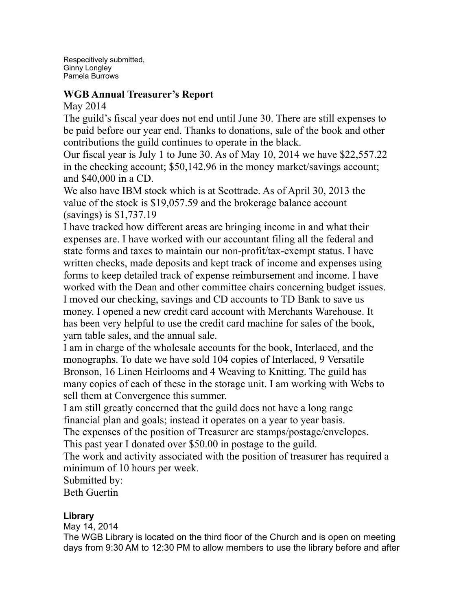Respecitively submitted, Ginny Longley Pamela Burrows

# **WGB Annual Treasurer's Report**

May 2014

The guild's fiscal year does not end until June 30. There are still expenses to be paid before our year end. Thanks to donations, sale of the book and other contributions the guild continues to operate in the black.

Our fiscal year is July 1 to June 30. As of May 10, 2014 we have \$22,557.22 in the checking account; \$50,142.96 in the money market/savings account; and \$40,000 in a CD.

We also have IBM stock which is at Scottrade. As of April 30, 2013 the value of the stock is \$19,057.59 and the brokerage balance account (savings) is \$1,737.19

I have tracked how different areas are bringing income in and what their expenses are. I have worked with our accountant filing all the federal and state forms and taxes to maintain our non-profit/tax-exempt status. I have written checks, made deposits and kept track of income and expenses using forms to keep detailed track of expense reimbursement and income. I have worked with the Dean and other committee chairs concerning budget issues. I moved our checking, savings and CD accounts to TD Bank to save us money. I opened a new credit card account with Merchants Warehouse. It has been very helpful to use the credit card machine for sales of the book, yarn table sales, and the annual sale.

I am in charge of the wholesale accounts for the book, Interlaced, and the monographs. To date we have sold 104 copies of Interlaced, 9 Versatile Bronson, 16 Linen Heirlooms and 4 Weaving to Knitting. The guild has many copies of each of these in the storage unit. I am working with Webs to sell them at Convergence this summer.

I am still greatly concerned that the guild does not have a long range financial plan and goals; instead it operates on a year to year basis.

The expenses of the position of Treasurer are stamps/postage/envelopes. This past year I donated over \$50.00 in postage to the guild.

The work and activity associated with the position of treasurer has required a minimum of 10 hours per week.

Submitted by:

Beth Guertin

# **Library**

May 14, 2014

The WGB Library is located on the third floor of the Church and is open on meeting days from 9:30 AM to 12:30 PM to allow members to use the library before and after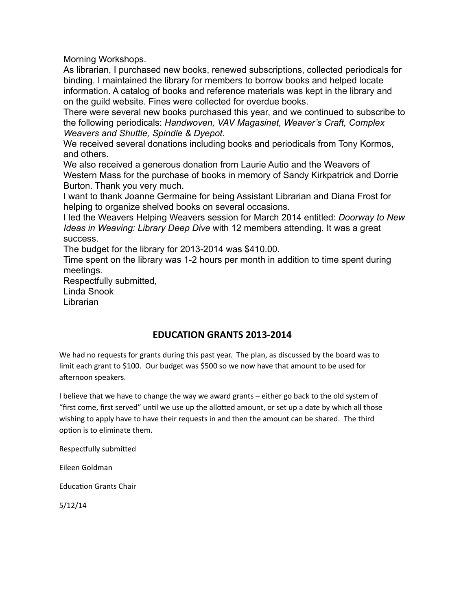Morning Workshops.

As librarian, I purchased new books, renewed subscriptions, collected periodicals for binding. I maintained the library for members to borrow books and helped locate information. A catalog of books and reference materials was kept in the library and on the guild website. Fines were collected for overdue books.

There were several new books purchased this year, and we continued to subscribe to the following periodicals: *Handwoven, VAV Magasinet, Weaver's Craft, Complex Weavers and Shuttle, Spindle & Dyepot.*

We received several donations including books and periodicals from Tony Kormos, and others.

We also received a generous donation from Laurie Autio and the Weavers of Western Mass for the purchase of books in memory of Sandy Kirkpatrick and Dorrie Burton. Thank you very much.

I want to thank Joanne Germaine for being Assistant Librarian and Diana Frost for helping to organize shelved books on several occasions.

I led the Weavers Helping Weavers session for March 2014 entitled: *Doorway to New Ideas in Weaving: Library Deep Dive* with 12 members attending. It was a great success.

The budget for the library for 2013-2014 was \$410.00.

Time spent on the library was 1-2 hours per month in addition to time spent during meetings.

Respectfully submitted,

Linda Snook Librarian

**EDUCATION GRANTS 2013-2014**

We had no requests for grants during this past year. The plan, as discussed by the board was to limit each grant to \$100. Our budget was \$500 so we now have that amount to be used for afternoon speakers.

I believe that we have to change the way we award grants – either go back to the old system of "first come, first served" until we use up the allotted amount, or set up a date by which all those wishing to apply have to have their requests in and then the amount can be shared. The third option is to eliminate them.

Respectfully submitted

Eileen Goldman

**Education Grants Chair** 

5/12/14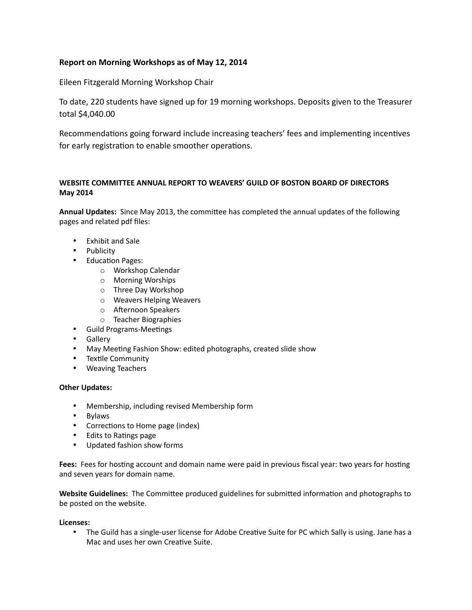#### **Report on Morning Workshops as of May 12, 2014**

Eileen Fitzgerald Morning Workshop Chair

To date, 220 students have signed up for 19 morning workshops. Deposits given to the Treasurer total \$4,040.00

Recommendations going forward include increasing teachers' fees and implementing incentives for early registration to enable smoother operations.

#### WEBSITE COMMITTEE ANNUAL REPORT TO WEAVERS' GUILD OF BOSTON BOARD OF DIRECTORS **May 2014**

Annual Updates: Since May 2013, the committee has completed the annual updates of the following pages and related pdf files:

- Exhibit and Sale
- Publicity
- Education Pages:
	- o Workshop Calendar
	- o Morning Worships
	- o Three Day Workshop
	- o Weavers Helping Weavers
	- o Afternoon Speakers
	- o Teacher Biographies
- Guild Programs-Meetings
- Gallery
- May Meeting Fashion Show: edited photographs, created slide show
- Textile Community
- Weaving Teachers

#### **Other Updates:**

- Membership, including revised Membership form
- Bylaws
- Corrections to Home page (index)
- Edits to Ratings page
- Updated fashion show forms

Fees: Fees for hosting account and domain name were paid in previous fiscal year: two years for hosting and seven years for domain name.

Website Guidelines: The Committee produced guidelines for submitted information and photographs to be posted on the website.

#### Licenses:

• The Guild has a single-user license for Adobe Creative Suite for PC which Sally is using. Jane has a Mac and uses her own Creative Suite.